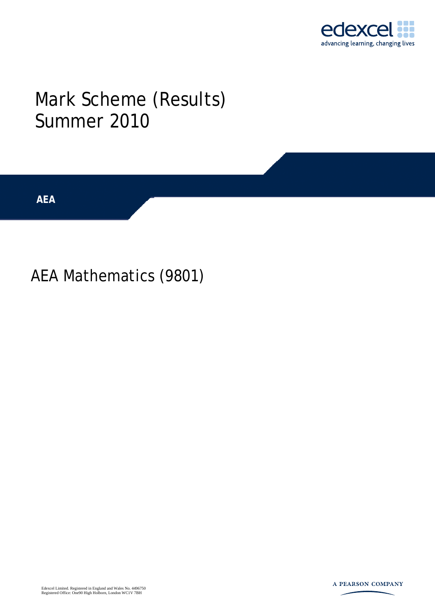

## Mark Scheme (Results) Summer 2010

**AEA** 

AEA Mathematics (9801)

Edexcel Limited. Registered in England and Wales No. 4496750 Registered Office: One90 High Holborn, London WC1V 7BH

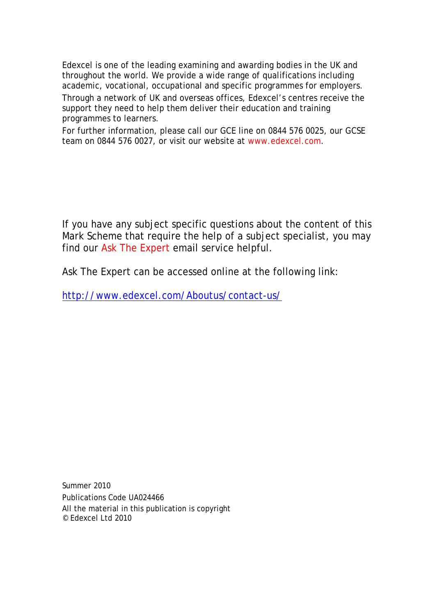Edexcel is one of the leading examining and awarding bodies in the UK and throughout the world. We provide a wide range of qualifications including academic, vocational, occupational and specific programmes for employers.

Through a network of UK and overseas offices, Edexcel's centres receive the support they need to help them deliver their education and training programmes to learners.

For further information, please call our GCE line on 0844 576 0025, our GCSE team on 0844 576 0027, or visit our website at www.edexcel.com.

If you have any subject specific questions about the content of this Mark Scheme that require the help of a subject specialist, you may find our Ask The Expert email service helpful.

Ask The Expert can be accessed online at the following link:

http://www.edexcel.com/Aboutus/contact-us/

Summer 2010 Publications Code UA024466 All the material in this publication is copyright © Edexcel Ltd 2010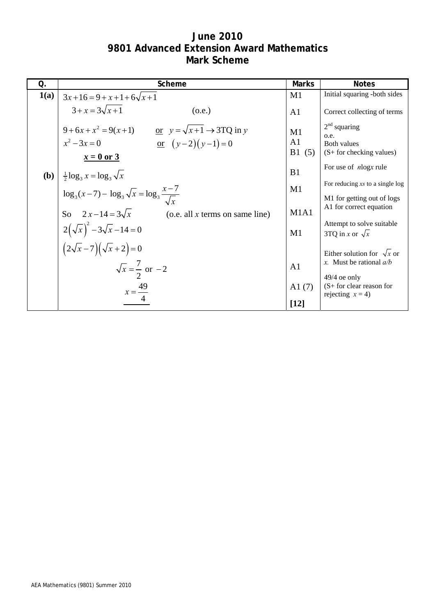## **June 2010 9801 Advanced Extension Award Mathematics Mark Scheme**

| Q.           | Scheme                                                                                                                  | <b>Marks</b>      | <b>Notes</b>                                                               |
|--------------|-------------------------------------------------------------------------------------------------------------------------|-------------------|----------------------------------------------------------------------------|
| 1(a)         | $3x+16=9+x+1+6\sqrt{x+1}$                                                                                               | M1                | Initial squaring -both sides                                               |
|              | $3 + x = 3\sqrt{x+1}$<br>(0.e.)                                                                                         | A <sub>1</sub>    | Correct collecting of terms                                                |
|              | $9 + 6x + x^2 = 9(x+1)$ or $y = \sqrt{x+1} \rightarrow 3TQ$ in y<br>or $(y-2)(y-1)=0$<br>$x^2 - 3x = 0$<br>$x = 0$ or 3 | M1<br>A1<br>B1(5) | $2nd$ squaring<br>o.e.<br><b>Both values</b><br>$(S+$ for checking values) |
| ( <b>b</b> ) | $\frac{1}{2} \log_3 x = \log_3 \sqrt{x}$                                                                                | B <sub>1</sub>    | For use of <i>nlogx</i> rule<br>For reducing xs to a single log            |
|              | $\log_3(x-7) - \log_3\sqrt{x} = \log_3\frac{x-7}{\sqrt{x}}$<br>So $2x-14 = 3\sqrt{x}$ (o.e. all x terms on same line)   | M1<br>M1A1        | M1 for getting out of logs<br>A1 for correct equation                      |
|              | $2(\sqrt{x})^2 - 3\sqrt{x} - 14 = 0$                                                                                    | M1                | Attempt to solve suitable<br>3TQ in x or $\sqrt{x}$                        |
|              | $(2\sqrt{x}-7)(\sqrt{x}+2)=0$                                                                                           | A <sub>1</sub>    | Either solution for $\sqrt{x}$ or<br>x. Must be rational $a/b$             |
|              | $\sqrt{x} = \frac{7}{2}$ or $-2$<br>$x = \frac{49}{4}$                                                                  | A1(7)<br>$[12]$   | $49/4$ oe only<br>$(S + for clear reason for$<br>rejecting $x = 4$ )       |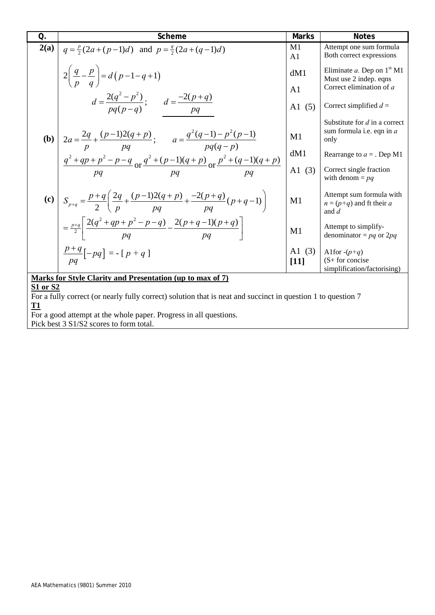| Q.                                                                                                           | Scheme                                                                                                          | <b>Marks</b>         | <b>Notes</b>                                                         |
|--------------------------------------------------------------------------------------------------------------|-----------------------------------------------------------------------------------------------------------------|----------------------|----------------------------------------------------------------------|
| 2(a)                                                                                                         | $q = \frac{p}{2}(2a + (p-1)d)$ and $p = \frac{q}{2}(2a + (q-1)d)$                                               | M1<br>A <sub>1</sub> | Attempt one sum formula<br>Both correct expressions                  |
|                                                                                                              | $2\left(\frac{q}{p}-\frac{p}{q}\right)=d\left(p-1-q+1\right)$                                                   | dM1                  | Eliminate a. Dep on $1st M1$<br>Must use 2 indep. eqns               |
|                                                                                                              |                                                                                                                 | A <sub>1</sub>       | Correct elimination of a                                             |
|                                                                                                              | $d = \frac{2(q^2 - p^2)}{pq(p - q)}$ ; $d = \frac{-2(p + q)}{pq}$                                               | A1(5)                | Correct simplified $d =$                                             |
|                                                                                                              | <b>(b)</b> $2a = \frac{2q}{p} + \frac{(p-1)2(q+p)}{pq};$ $a = \frac{q^2(q-1) - p^2(p-1)}{pq(q-p)}$              | M1                   | Substitute for $d$ in a correct<br>sum formula i.e. eqn in a<br>only |
|                                                                                                              |                                                                                                                 | dM1                  | Rearrange to $a =$ . Dep M1                                          |
|                                                                                                              | $\frac{q^2+qp+p^2-p-q}{pq}$ or $\frac{q^2+(p-1)(q+p)}{pq}$ or $\frac{p^2+(q-1)(q+p)}{pq}$                       | A $1(3)$             | Correct single fraction<br>with denom $=$ $pq$                       |
|                                                                                                              | (c) $S_{p+q} = \frac{p+q}{2} \left( \frac{2q}{p} + \frac{(p-1)2(q+p)}{pq} + \frac{-2(p+q)}{pq} (p+q-1) \right)$ | M1                   | Attempt sum formula with<br>$n = (p+q)$ and ft their a<br>and $d$    |
|                                                                                                              | $=\frac{p+q}{2}\left[\frac{2(q^2+qp+p^2-p-q)}{pq}-\frac{2(p+q-1)(p+q)}{pq}\right]$                              | M1                   | Attempt to simplify-<br>denominator = $pq$ or 2 $pq$                 |
|                                                                                                              | $\frac{p+q}{pq}[-pq] = -[p+q]$                                                                                  | A1(3)<br>$[11]$      | Alfor $-(p+q)$<br>$(S+$ for concise<br>simplification/factorising)   |
|                                                                                                              | Marks for Style Clarity and Presentation (up to max of 7)                                                       |                      |                                                                      |
| S1 or S2                                                                                                     |                                                                                                                 |                      |                                                                      |
| For a fully correct (or nearly fully correct) solution that is neat and succinct in question 1 to question 7 |                                                                                                                 |                      |                                                                      |
| T1                                                                                                           |                                                                                                                 |                      |                                                                      |
| For a good attempt at the whole paper. Progress in all questions.                                            |                                                                                                                 |                      |                                                                      |

Pick best 3 S1/S2 scores to form total.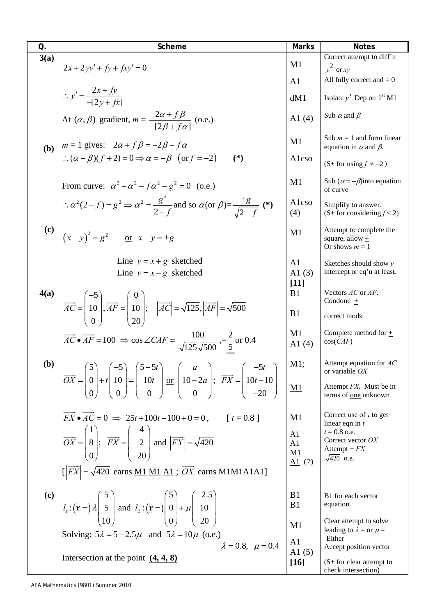| Q.                         | Scheme                                                                                                                                                                                                                                                                                                                        | <b>Marks</b>                         | <b>Notes</b>                                                       |
|----------------------------|-------------------------------------------------------------------------------------------------------------------------------------------------------------------------------------------------------------------------------------------------------------------------------------------------------------------------------|--------------------------------------|--------------------------------------------------------------------|
| 3(a)                       | $2x+2yy'+ f y + f xy' = 0$                                                                                                                                                                                                                                                                                                    | M1                                   | Correct attempt to diff'n<br>$y^2$ or xy                           |
|                            |                                                                                                                                                                                                                                                                                                                               | A <sub>1</sub>                       | All fully correct and $= 0$                                        |
|                            | $\therefore y' = \frac{2x + fy}{-[2y + fx]}$                                                                                                                                                                                                                                                                                  | dM1                                  | Isolate $y'$ Dep on $1st M1$                                       |
|                            | At $(\alpha, \beta)$ gradient, $m = \frac{2\alpha + f\beta}{-\left[2\beta + f\alpha\right]}$ (o.e.)                                                                                                                                                                                                                           | A1(4)                                | Sub $\alpha$ and $\beta$                                           |
| (b)                        | $m = 1$ gives: $2\alpha + f\beta = -2\beta - f\alpha$                                                                                                                                                                                                                                                                         | M1                                   | Sub $m = 1$ and form linear<br>equation in $\alpha$ and $\beta$ .  |
|                            | $\therefore (\alpha + \beta)(f + 2) = 0 \Rightarrow \alpha = -\beta \text{ (or } f = -2)$<br>$(*)$                                                                                                                                                                                                                            | Alcso                                | $(S+ for using f \neq -2)$                                         |
|                            | From curve: $\alpha^2 + \alpha^2 - f \alpha^2 - g^2 = 0$ (o.e.)                                                                                                                                                                                                                                                               | M1                                   | Sub $(\alpha = -\beta)$ into equation<br>of curve                  |
|                            | $\therefore \alpha^2(2-f) = g^2 \Rightarrow \alpha^2 = \frac{g^2}{2-f}$ and so $\alpha$ (or $\beta$ ) = $\frac{\pm g}{\sqrt{2-f}}$ (*)                                                                                                                                                                                        | Alcso<br>(4)                         | Simplify to answer.<br>$(S+$ for considering $f < 2$ )             |
| $\left( \mathbf{c}\right)$ | $(x-y)^2 = g^2$ or $x-y = \pm g$                                                                                                                                                                                                                                                                                              | M1                                   | Attempt to complete the<br>square, allow $\pm$<br>Or shows $m = 1$ |
|                            | Line $y = x + g$ sketched<br>Line $y = x - g$ sketched                                                                                                                                                                                                                                                                        | A <sub>1</sub><br>A $1(3)$<br>$[11]$ | Sketches should show $y$<br>intercept or eq'n at least.            |
| 4(a)                       |                                                                                                                                                                                                                                                                                                                               | B1                                   | Vectors AC or AF.                                                  |
|                            |                                                                                                                                                                                                                                                                                                                               |                                      | Condone $\pm$                                                      |
|                            | $\overrightarrow{AC} = \begin{pmatrix} -5 \\ 10 \\ 0 \end{pmatrix}, \overrightarrow{AF} = \begin{pmatrix} 0 \\ 10 \\ 20 \end{pmatrix}; \quad  \overrightarrow{AC}  = \sqrt{125},  \overrightarrow{AF}  = \sqrt{500}$                                                                                                          | B1                                   | correct mods                                                       |
|                            | $\overrightarrow{AC} \cdot \overrightarrow{AF} = 100 \Rightarrow \cos \angle CAF = \frac{100}{\sqrt{125}\sqrt{500}} = \frac{2}{5}$ or 0.4                                                                                                                                                                                     | M1<br>A1 $(4)$                       | Complete method for $\pm$<br>cos(CAF)                              |
| (b)                        | $\overrightarrow{OX} = \begin{pmatrix} 5 \\ 0 \\ 0 \end{pmatrix} + t \begin{pmatrix} -5 \\ 10 \\ 0 \end{pmatrix} = \begin{pmatrix} 5 - 5t \\ 10t \\ 0 \end{pmatrix} \underbrace{\text{or}}_{0} \begin{pmatrix} a \\ 10 - 2a \\ 0 \end{pmatrix}; \ \overrightarrow{FX} = \begin{pmatrix} -5t \\ 10t - 10 \\ -20 \end{pmatrix}$ | M1;                                  | Attempt equation for $AC$<br>or variable $OX$                      |
|                            |                                                                                                                                                                                                                                                                                                                               | $\underline{M1}$                     | Attempt FX. Must be in<br>terms of one unknown                     |
|                            | $\overrightarrow{FX} \cdot \overrightarrow{AC} = 0 \implies 25t + 100t - 100 + 0 = 0,$ [t = 0.8]                                                                                                                                                                                                                              | M1                                   | Correct use of • to get<br>linear eqn in $t$                       |
|                            | $\overrightarrow{OX} = \begin{pmatrix} 1 \\ 8 \\ 0 \end{pmatrix}; \ \overrightarrow{FX} = \begin{pmatrix} -4 \\ -2 \\ -20 \end{pmatrix}$ and $\left  \overrightarrow{FX} \right  = \sqrt{420}$                                                                                                                                | A1<br>A1                             | $t = 0.8$ o.e.<br>Correct vector OX                                |
|                            |                                                                                                                                                                                                                                                                                                                               | <u>M1</u>                            | Attempt $\pm FX$<br>$\sqrt{420}$ o.e.                              |
|                            | $\left[\left \overrightarrow{FX}\right  = \sqrt{420}$ earns <u>M1 M1 A1</u> ; $\overrightarrow{OX}$ earns M1M1A1A1]                                                                                                                                                                                                           | $\underline{A1}$ (7)                 |                                                                    |
| (c)                        |                                                                                                                                                                                                                                                                                                                               | B <sub>1</sub>                       | B1 for each vector                                                 |
|                            | $l_1: (\mathbf{r} =)\lambda \begin{pmatrix} 5 \\ 5 \\ 10 \end{pmatrix}$ and $l_2: (\mathbf{r} =)\begin{pmatrix} 5 \\ 0 \\ 0 \end{pmatrix} + \mu \begin{pmatrix} 2.5 \\ 10 \\ 20 \end{pmatrix}$                                                                                                                                | B1                                   | equation                                                           |
|                            |                                                                                                                                                                                                                                                                                                                               | M1                                   | Clear attempt to solve<br>leading to $\lambda =$ or $\mu =$        |
|                            | Solving: $5\lambda = 5 - 2.5\mu$ and $5\lambda = 10\mu$ (o.e.)                                                                                                                                                                                                                                                                |                                      | Either                                                             |
|                            | $\lambda = 0.8, \mu = 0.4$                                                                                                                                                                                                                                                                                                    | A <sub>1</sub><br>A $1(5)$           | Accept position vector                                             |
|                            | Intersection at the point $(4, 4, 8)$                                                                                                                                                                                                                                                                                         | $[16]$                               | $(S + for clear attempt to$                                        |
|                            |                                                                                                                                                                                                                                                                                                                               |                                      | check intersection)                                                |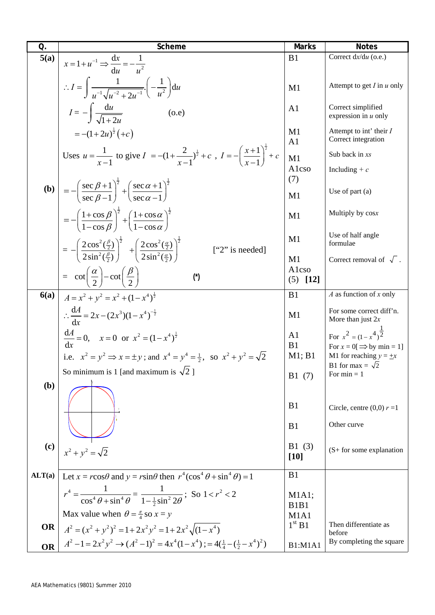| $\overline{O}$ . | Scheme                                                                                                                                                                                                           | <b>Marks</b>                           | <b>Notes</b>                                                            |
|------------------|------------------------------------------------------------------------------------------------------------------------------------------------------------------------------------------------------------------|----------------------------------------|-------------------------------------------------------------------------|
| 5(a)             |                                                                                                                                                                                                                  | B1                                     | Correct dx/du (o.e.)                                                    |
|                  | $x=1+u^{-1} \Rightarrow \frac{dx}{du}=-\frac{1}{u^2}$<br>$\therefore I = \left( \frac{1}{u^{-1} \sqrt{u^{-2} + 2u^{-1}}} \left( -\frac{1}{u^2} \right) du \right)$                                               | M1                                     | Attempt to get $I$ in $u$ only                                          |
|                  | $I = -\int \frac{du}{\sqrt{1+2u}}$<br>(0.e)                                                                                                                                                                      | A <sub>1</sub>                         | Correct simplified<br>expression in $u$ only                            |
|                  | $=-(1+2u)^{\frac{1}{2}}(+c)$                                                                                                                                                                                     | M1<br>A <sub>1</sub>                   | Attempt to int' their I<br>Correct integration                          |
|                  | Uses $u = \frac{1}{x-1}$ to give $I = -(1 + \frac{2}{x-1})^{\frac{1}{2}} + c$ , $I = -\left(\frac{x+1}{x-1}\right)^{\frac{1}{2}} + c$                                                                            | M1<br>Alcso                            | Sub back in xs<br>Including $+ c$                                       |
|                  | <b>(b)</b> $= -\left(\frac{\sec \beta + 1}{\sec \beta - 1}\right)^{\frac{1}{2}} + \left(\frac{\sec \alpha + 1}{\sec \alpha - 1}\right)^{\frac{1}{2}}$                                                            | (7)                                    |                                                                         |
|                  |                                                                                                                                                                                                                  | M1                                     | Use of part $(a)$                                                       |
|                  | $= - \left( \frac{1 + \cos \beta}{1 - \cos \beta} \right)^{\frac{1}{2}} + \left( \frac{1 + \cos \alpha}{1 - \cos \alpha} \right)^{\frac{1}{2}}$                                                                  | M1                                     | Multiply by cosx                                                        |
|                  | $= - \left( \frac{2 \cos^2(\frac{\beta}{2})}{2 \sin^2(\frac{\beta}{2})} \right)^{\frac{1}{2}} + \left( \frac{2 \cos^2(\frac{\alpha}{2})}{2 \sin^2(\frac{\alpha}{2})} \right)^{\frac{1}{2}}$<br>$['2"$ is needed] | M <sub>1</sub>                         | Use of half angle<br>formulae                                           |
|                  |                                                                                                                                                                                                                  | M1<br>Alcso                            | Correct removal of $\sqrt{ }$ .                                         |
|                  | $= \cot\left(\frac{\alpha}{2}\right) - \cot\left(\frac{\beta}{2}\right)$<br>$(\dot{\mathcal{C}})$                                                                                                                | $[12]$<br>(5)                          |                                                                         |
| 6(a)             | $A = x^{2} + y^{2} = x^{2} + (1 - x^{4})^{\frac{1}{2}}$                                                                                                                                                          | B1                                     | $A$ as function of x only                                               |
|                  | $\therefore \frac{dA}{dx} = 2x - (2x^3)(1 - x^4)^{-\frac{1}{2}}$                                                                                                                                                 | M1                                     | For some correct diff'n.<br>More than just $2x$                         |
|                  | $\frac{dA}{dx} = 0$ , $x = 0$ or $x^2 = (1 - x^4)^{\frac{1}{2}}$                                                                                                                                                 | A <sub>1</sub><br>B1                   | For $x^2 = (1 - x^4)^{\frac{1}{2}}$<br>For $x = 0 \implies$ by min = 1] |
|                  | i.e. $x^2 = y^2 \implies x = \pm y$ ; and $x^4 = y^4 = \frac{1}{2}$ , so $x^2 + y^2 = \sqrt{2}$                                                                                                                  | M1; B1                                 | M1 for reaching $y = \pm x$                                             |
|                  | So minimum is 1 [and maximum is $\sqrt{2}$ ]                                                                                                                                                                     | B1(7)                                  | B1 for max = $\sqrt{2}$<br>For $min = 1$                                |
| ( <b>b</b> )     |                                                                                                                                                                                                                  |                                        |                                                                         |
|                  |                                                                                                                                                                                                                  | B <sub>1</sub>                         | Circle, centre $(0,0)$ $r = 1$                                          |
|                  |                                                                                                                                                                                                                  | B1                                     | Other curve                                                             |
| (c)              | $x^2 + y^2 = \sqrt{2}$                                                                                                                                                                                           | B1(3)<br>$[10]$                        | $(S + for some explanation)$                                            |
| ALT(a)           | Let $x = r\cos\theta$ and $y = r\sin\theta$ then $r^4(\cos^4\theta + \sin^4\theta) = 1$                                                                                                                          | B1                                     |                                                                         |
|                  | $r^4 = \frac{1}{\cos^4 \theta + \sin^4 \theta} = \frac{1}{1 - \frac{1}{2} \sin^2 2\theta}$ ; So $1 < r^2 < 2$                                                                                                    | M1A1;<br>B <sub>1</sub> B <sub>1</sub> |                                                                         |
|                  | Max value when $\theta = \frac{\pi}{4}$ so $x = y$                                                                                                                                                               | M <sub>1</sub> A <sub>1</sub>          |                                                                         |
| <b>OR</b>        | $A^{2} = (x^{2} + y^{2})^{2} = 1 + 2x^{2}y^{2} = 1 + 2x^{2}\sqrt{(1 - x^{4})}$                                                                                                                                   | 1 <sup>st</sup> B1                     | Then differentiate as<br>before                                         |
| <b>OR</b>        | $A^{2} - 1 = 2x^{2}y^{2} \rightarrow (A^{2} - 1)^{2} = 4x^{4}(1 - x^{4})$ ; = $4(\frac{1}{4} - (\frac{1}{2} - x^{4})^{2})$                                                                                       | <b>B1:M1A1</b>                         | By completing the square                                                |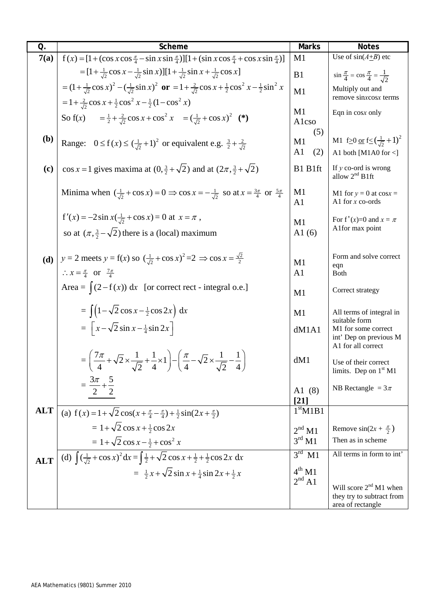| Q.                         | Scheme                                                                                                                                                                      | <b>Marks</b>           | <b>Notes</b>                                                                          |
|----------------------------|-----------------------------------------------------------------------------------------------------------------------------------------------------------------------------|------------------------|---------------------------------------------------------------------------------------|
| 7(a)                       | $f(x) = [1 + (\cos x \cos \frac{\pi}{4} - \sin x \sin \frac{\pi}{4})][1 + (\sin x \cos \frac{\pi}{4} + \cos x \sin \frac{\pi}{4})]$                                         | M1                     | Use of $sin(A+B)$ etc                                                                 |
|                            | $=[1+\frac{1}{\sqrt{2}}\cos x-\frac{1}{\sqrt{2}}\sin x][1+\frac{1}{\sqrt{2}}\sin x+\frac{1}{\sqrt{2}}\cos x]$                                                               | B1                     | $\sin \frac{\pi}{4} = \cos \frac{\pi}{4} = \frac{1}{\sqrt{2}}$                        |
|                            | $= (1 + \frac{1}{\sqrt{2}} \cos x)^2 - (\frac{1}{\sqrt{2}} \sin x)^2$ or $= 1 + \frac{2}{\sqrt{2}} \cos x + \frac{1}{2} \cos^2 x - \frac{1}{2} \sin^2 x$                    | M1                     | Multiply out and                                                                      |
|                            | $=1+\frac{2}{\sqrt{2}}\cos x+\frac{1}{2}\cos^2 x-\frac{1}{2}(1-\cos^2 x)$                                                                                                   |                        | remove sinxcosx terms                                                                 |
|                            | So f(x) = $\frac{1}{2} + \frac{2}{\sqrt{2}} \cos x + \cos^2 x = (\frac{1}{\sqrt{2}} + \cos x)^2$ (*)                                                                        | M1<br>Alcso            | Eqn in cosx only                                                                      |
| <b>(b)</b>                 | Range: $0 \le f(x) \le (\frac{1}{\sqrt{2}}+1)^2$ or equivalent e.g. $\frac{3}{2} + \frac{2}{\sqrt{2}}$                                                                      | (5)<br>M1<br>A1<br>(2) | M1 f <sub>2</sub> 0 or $f \le (\frac{1}{\sqrt{2}}+1)^2$<br>A1 both [M1A0 for $\leq$ ] |
| $\left( \mathbf{c}\right)$ | $\cos x = 1$ gives maxima at $(0, \frac{3}{2} + \sqrt{2})$ and at $(2\pi, \frac{3}{2} + \sqrt{2})$                                                                          | B1 B1ft                | If $y$ co-ord is wrong<br>allow $2nd$ B1ft                                            |
|                            | Minima when $(\frac{1}{\sqrt{2}} + \cos x) = 0 \Rightarrow \cos x = -\frac{1}{\sqrt{2}}$ so at $x = \frac{3\pi}{4}$ or $\frac{5\pi}{4}$                                     | M1<br>A <sub>1</sub>   | M1 for $y = 0$ at cosx =<br>A1 for $x$ co-ords                                        |
|                            | $f'(x) = -2\sin x(\frac{1}{\sqrt{2}} + \cos x) = 0$ at $x = \pi$ ,                                                                                                          | M1                     | For f'(x)=0 and $x = \pi$                                                             |
|                            | so at $(\pi, \frac{3}{2} - \sqrt{2})$ there is a (local) maximum                                                                                                            | A1(6)                  | Alfor max point                                                                       |
|                            | (d) $y = 2$ meets $y = f(x)$ so $\left(\frac{1}{\sqrt{2}} + \cos x\right)^2 = 2 \implies \cos x = \frac{\sqrt{2}}{2}$<br>$\therefore x = \frac{\pi}{4}$ or $\frac{7\pi}{4}$ | M1<br>A <sub>1</sub>   | Form and solve correct<br>eqn<br><b>Both</b>                                          |
|                            | Area = $\int (2 - f(x)) dx$ [or correct rect - integral o.e.]                                                                                                               | M1                     | Correct strategy                                                                      |
|                            | $= \int (1-\sqrt{2}\cos x - \frac{1}{2}\cos 2x) dx$                                                                                                                         | M1                     | All terms of integral in                                                              |
|                            | $=\left[x-\sqrt{2}\sin x-\frac{1}{4}\sin 2x\right]$                                                                                                                         | dM1A1                  | suitable form<br>M1 for some correct<br>int' Dep on previous M<br>A1 for all correct  |
|                            | $= \left(\frac{7\pi}{4} + \sqrt{2} \times \frac{1}{\sqrt{2}} + \frac{1}{4} \times 1\right) - \left(\frac{\pi}{4} - \sqrt{2} \times \frac{1}{\sqrt{2}} - \frac{1}{4}\right)$ | dM1                    | Use of their correct<br>limits. Dep on $1st M1$                                       |
|                            | $=\frac{3\pi}{2}+\frac{5}{2}$                                                                                                                                               | A1(8)<br>[21]          | NB Rectangle = $3\pi$                                                                 |
| <b>ALT</b>                 | (a) $f(x) = 1 + \sqrt{2} \cos(x + \frac{\pi}{4} - \frac{\pi}{4}) + \frac{1}{2} \sin(2x + \frac{\pi}{2})$                                                                    | 1 <sup>st</sup> M1B1   |                                                                                       |
|                            | $= 1 + \sqrt{2} \cos x + \frac{1}{2} \cos 2x$                                                                                                                               | 2 <sup>nd</sup> M1     | Remove $sin(2x + \frac{\pi}{2})$                                                      |
|                            | $= 1 + \sqrt{2} \cos x - \frac{1}{2} + \cos^2 x$                                                                                                                            | $3^{\text{rd}}$ M1     | Then as in scheme                                                                     |
| <b>ALT</b>                 | (d) $\int (\frac{1}{\sqrt{2}} + \cos x)^2 dx = \int \frac{1}{2} + \sqrt{2} \cos x + \frac{1}{2} + \frac{1}{2} \cos 2x dx$                                                   | $3^{\text{rd}}$ M1     | All terms in form to int'                                                             |
|                            | $=\frac{1}{2}x+\sqrt{2}\sin x+\frac{1}{4}\sin 2x+\frac{1}{2}x$                                                                                                              | $4^{th}$ M1            |                                                                                       |
|                            |                                                                                                                                                                             | $2^{nd}$ A1            | Will score 2 <sup>nd</sup> M1 when                                                    |
|                            |                                                                                                                                                                             |                        | they try to subtract from<br>area of rectangle                                        |